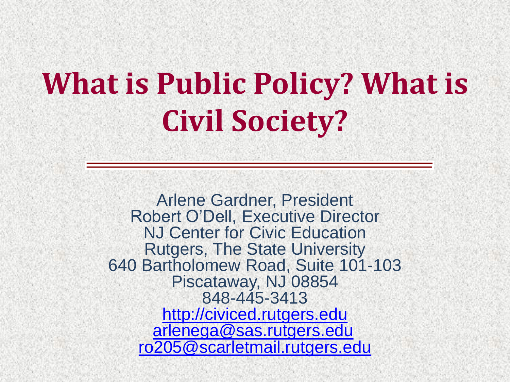# **What is Public Policy? What is Civil Society?**

Arlene Gardner, President Robert O'Dell, Executive Director NJ Center for Civic Education Rutgers, The State University 640 Bartholomew Road, Suite 101-103 Piscataway, NJ 08854 848-445-3413 [http://civiced.rutgers.edu](http://civiced.rutgers.edu/) [arlenega@sas.rutgers.edu](mailto:arlenega@sas.rutgers.edu) [ro205@scarletmail.rutgers.edu](mailto:ro205@scarletmail.rutgers.edu)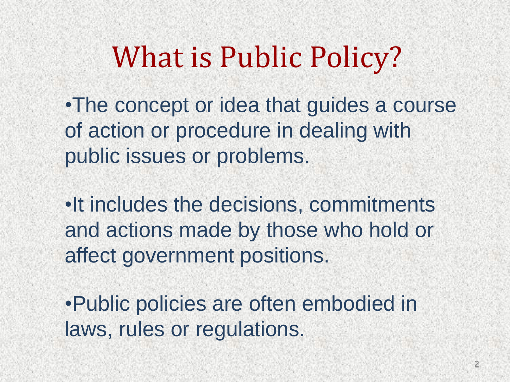## What is Public Policy?

•The concept or idea that guides a course of action or procedure in dealing with public issues or problems.

•It includes the decisions, commitments and actions made by those who hold or affect government positions.

•Public policies are often embodied in laws, rules or regulations.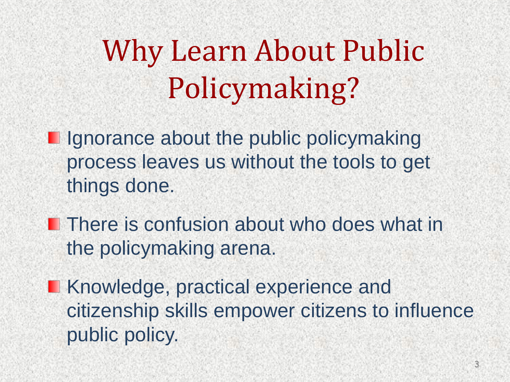Why Learn About Public Policymaking?

**I** Ignorance about the public policymaking process leaves us without the tools to get things done.

**There is confusion about who does what in** the policymaking arena.

**Knowledge, practical experience and** citizenship skills empower citizens to influence public policy.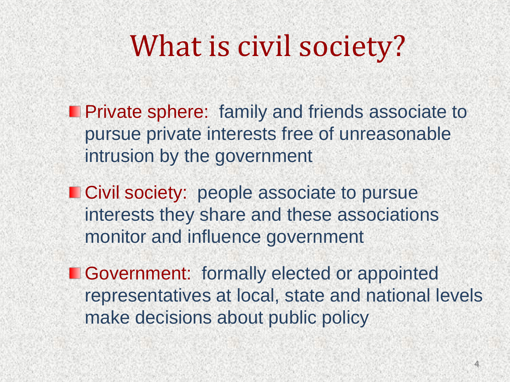## What is civil society?

- **Private sphere:** family and friends associate to pursue private interests free of unreasonable intrusion by the government
- **Civil society:** people associate to pursue interests they share and these associations monitor and influence government
- **E** Government: formally elected or appointed representatives at local, state and national levels make decisions about public policy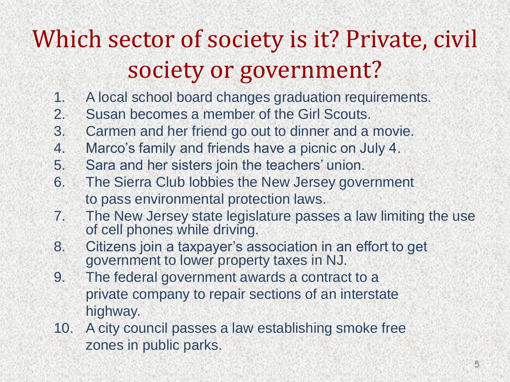#### Which sector of society is it? Private, civil society or government?

- 1. A local school board changes graduation requirements.
- 2. Susan becomes a member of the Girl Scouts.
- 3. Carmen and her friend go out to dinner and a movie.
- 4. Marco's family and friends have a picnic on July 4.
- 5. Sara and her sisters join the teachers' union.
- 6. The Sierra Club lobbies the New Jersey government to pass environmental protection laws.
- 7. The New Jersey state legislature passes a law limiting the use of cell phones while driving.
- 8. Citizens join a taxpayer's association in an effort to get government to lower property taxes in NJ.
- 9. The federal government awards a contract to a private company to repair sections of an interstate highway.
- 10. A city council passes a law establishing smoke free zones in public parks.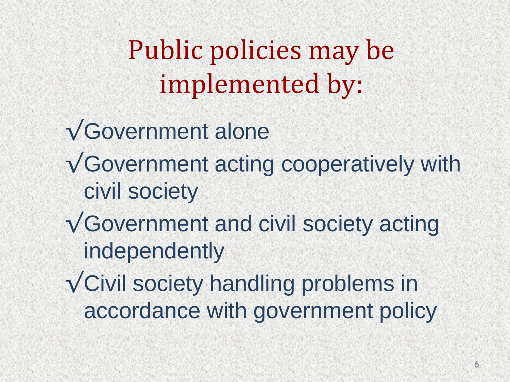Public policies may be implemented by:

- √Government alone
- √Government acting cooperatively with civil society
- √Government and civil society acting independently
- √Civil society handling problems in accordance with government policy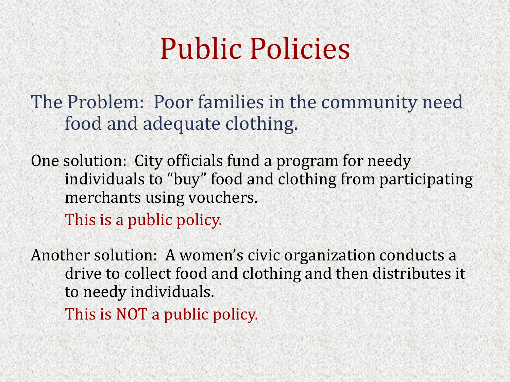### Public Policies

The Problem: Poor families in the community need food and adequate clothing.

One solution: City officials fund a program for needy individuals to "buy" food and clothing from participating merchants using vouchers.

This is a public policy.

Another solution: A women's civic organization conducts a drive to collect food and clothing and then distributes it to needy individuals.

This is NOT a public policy.